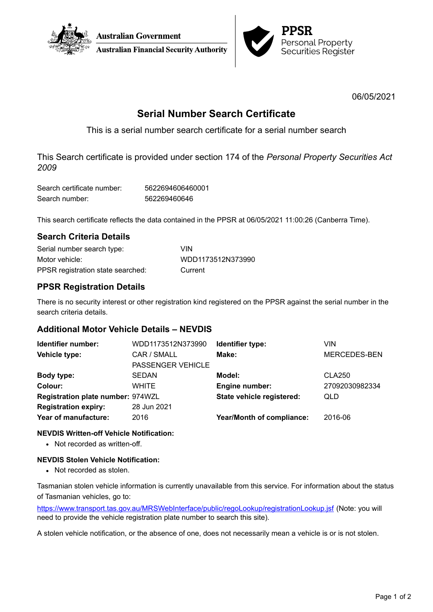



06/05/2021

# **Serial Number Search Certificate**

This is a serial number search certificate for a serial number search

This Search certificate is provided under section 174 of the *Personal Property Securities Act 2009*

| Search certificate number: | 5622694606460001 |
|----------------------------|------------------|
| Search number:             | 562269460646     |

This search certificate reflects the data contained in the PPSR at 06/05/2021 11:00:26 (Canberra Time).

## **Search Criteria Details**

| Serial number search type:        | VIN               |
|-----------------------------------|-------------------|
| Motor vehicle:                    | WDD1173512N373990 |
| PPSR registration state searched: | Current           |

## **PPSR Registration Details**

There is no security interest or other registration kind registered on the PPSR against the serial number in the search criteria details.

## **Additional Motor Vehicle Details – NEVDIS**

| Identifier number:                | WDD1173512N373990        | Identifier type:          | VIN                 |
|-----------------------------------|--------------------------|---------------------------|---------------------|
| Vehicle type:                     | CAR / SMALL              | Make:                     | <b>MERCEDES-BEN</b> |
|                                   | <b>PASSENGER VEHICLE</b> |                           |                     |
| Body type:                        | <b>SEDAN</b>             | Model:                    | <b>CLA250</b>       |
| Colour:                           | <b>WHITE</b>             | <b>Engine number:</b>     | 27092030982334      |
| Registration plate number: 974WZL |                          | State vehicle registered: | QLD                 |
| <b>Registration expiry:</b>       | 28 Jun 2021              |                           |                     |
| Year of manufacture:              | 2016                     | Year/Month of compliance: | 2016-06             |
|                                   |                          |                           |                     |

### **NEVDIS Written-off Vehicle Notification:**

• Not recorded as written-off.

### **NEVDIS Stolen Vehicle Notification:**

• Not recorded as stolen.

Tasmanian stolen vehicle information is currently unavailable from this service. For information about the status of Tasmanian vehicles, go to:

<https://www.transport.tas.gov.au/MRSWebInterface/public/regoLookup/registrationLookup.jsf> (Note: you will need to provide the vehicle registration plate number to search this site).

A stolen vehicle notification, or the absence of one, does not necessarily mean a vehicle is or is not stolen.